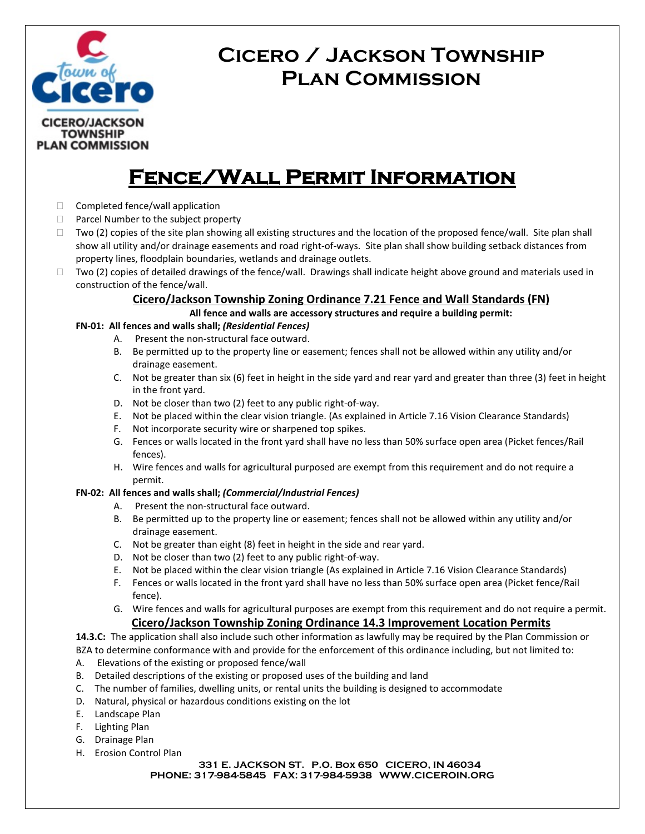

# **Cicero / Jackson Township Plan Commission**

## **Fence/Wall Permit Information**

- $\Box$  Completed fence/wall application
- $\Box$  Parcel Number to the subject property
- $\Box$  Two (2) copies of the site plan showing all existing structures and the location of the proposed fence/wall. Site plan shall show all utility and/or drainage easements and road right-of-ways. Site plan shall show building setback distances from property lines, floodplain boundaries, wetlands and drainage outlets.
- Two (2) copies of detailed drawings of the fence/wall. Drawings shall indicate height above ground and materials used in construction of the fence/wall.

### **Cicero/Jackson Township Zoning Ordinance 7.21 Fence and Wall Standards (FN)**

**All fence and walls are accessory structures and require a building permit:**

#### **FN-01: All fences and walls shall;** *(Residential Fences)*

- A. Present the non-structural face outward.
- B. Be permitted up to the property line or easement; fences shall not be allowed within any utility and/or drainage easement.
- C. Not be greater than six (6) feet in height in the side yard and rear yard and greater than three (3) feet in height in the front yard.
- D. Not be closer than two (2) feet to any public right-of-way.
- E. Not be placed within the clear vision triangle. (As explained in Article 7.16 Vision Clearance Standards)
- F. Not incorporate security wire or sharpened top spikes.
- G. Fences or walls located in the front yard shall have no less than 50% surface open area (Picket fences/Rail fences).
- H. Wire fences and walls for agricultural purposed are exempt from this requirement and do not require a permit.

#### **FN-02: All fences and walls shall;** *(Commercial/Industrial Fences)*

- A. Present the non-structural face outward.
- B. Be permitted up to the property line or easement; fences shall not be allowed within any utility and/or drainage easement.
- C. Not be greater than eight (8) feet in height in the side and rear yard.
- D. Not be closer than two (2) feet to any public right-of-way.
- E. Not be placed within the clear vision triangle (As explained in Article 7.16 Vision Clearance Standards)
- F. Fences or walls located in the front yard shall have no less than 50% surface open area (Picket fence/Rail fence).
- G. Wire fences and walls for agricultural purposes are exempt from this requirement and do not require a permit. **Cicero/Jackson Township Zoning Ordinance 14.3 Improvement Location Permits**

**14.3.C:** The application shall also include such other information as lawfully may be required by the Plan Commission or BZA to determine conformance with and provide for the enforcement of this ordinance including, but not limited to:

- A. Elevations of the existing or proposed fence/wall
- B. Detailed descriptions of the existing or proposed uses of the building and land
- C. The number of families, dwelling units, or rental units the building is designed to accommodate
- D. Natural, physical or hazardous conditions existing on the lot
- E. Landscape Plan
- F. Lighting Plan
- G. Drainage Plan
- H. Erosion Control Plan

**331 E. JACKSON ST. P.O. Box 650 CICERO, IN 46034 PHONE: 317-984-5845 FAX: 317-984-5938 WWW.CICEROIN.ORG**